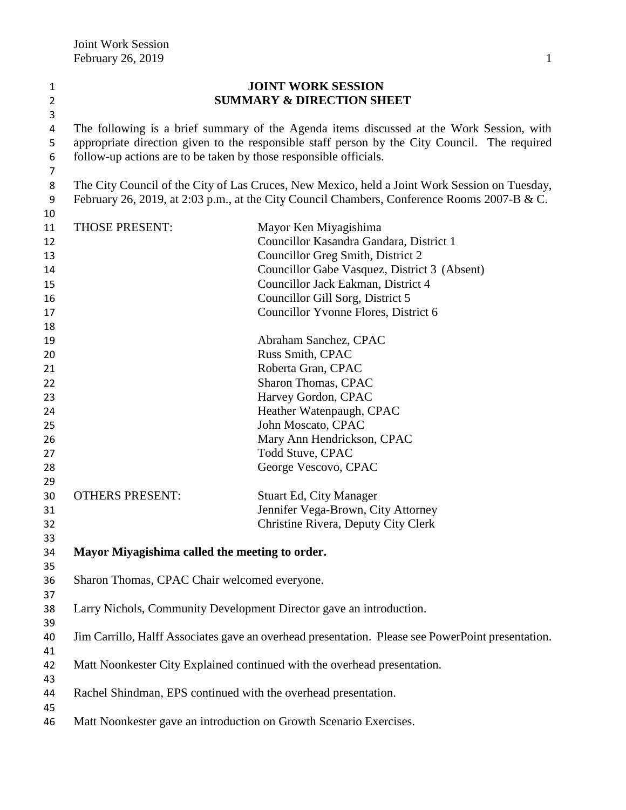| $\mathbf{1}$   | <b>JOINT WORK SESSION</b>                                                                         |                                              |
|----------------|---------------------------------------------------------------------------------------------------|----------------------------------------------|
| $\overline{2}$ | <b>SUMMARY &amp; DIRECTION SHEET</b>                                                              |                                              |
| 3              |                                                                                                   |                                              |
| 4              | The following is a brief summary of the Agenda items discussed at the Work Session, with          |                                              |
| 5              | appropriate direction given to the responsible staff person by the City Council. The required     |                                              |
| 6              | follow-up actions are to be taken by those responsible officials.                                 |                                              |
| 7              |                                                                                                   |                                              |
| 8              | The City Council of the City of Las Cruces, New Mexico, held a Joint Work Session on Tuesday,     |                                              |
| 9              | February 26, 2019, at 2:03 p.m., at the City Council Chambers, Conference Rooms 2007-B & C.       |                                              |
| 10             |                                                                                                   |                                              |
| 11             | THOSE PRESENT:                                                                                    | Mayor Ken Miyagishima                        |
| 12             |                                                                                                   | Councillor Kasandra Gandara, District 1      |
| 13             |                                                                                                   | Councillor Greg Smith, District 2            |
| 14             |                                                                                                   | Councillor Gabe Vasquez, District 3 (Absent) |
| 15             |                                                                                                   | Councillor Jack Eakman, District 4           |
| 16             |                                                                                                   | Councillor Gill Sorg, District 5             |
| 17             |                                                                                                   | Councillor Yvonne Flores, District 6         |
| 18             |                                                                                                   |                                              |
| 19             |                                                                                                   | Abraham Sanchez, CPAC                        |
| 20             |                                                                                                   | Russ Smith, CPAC                             |
| 21             |                                                                                                   | Roberta Gran, CPAC                           |
| 22             |                                                                                                   | Sharon Thomas, CPAC                          |
| 23             |                                                                                                   | Harvey Gordon, CPAC                          |
| 24             |                                                                                                   | Heather Watenpaugh, CPAC                     |
| 25             |                                                                                                   | John Moscato, CPAC                           |
| 26             |                                                                                                   | Mary Ann Hendrickson, CPAC                   |
| 27             |                                                                                                   | Todd Stuve, CPAC                             |
| 28             |                                                                                                   | George Vescovo, CPAC                         |
| 29             |                                                                                                   |                                              |
| 30             | <b>OTHERS PRESENT:</b>                                                                            | Stuart Ed, City Manager                      |
| 31             |                                                                                                   | Jennifer Vega-Brown, City Attorney           |
| 32             |                                                                                                   | Christine Rivera, Deputy City Clerk          |
| 33             |                                                                                                   |                                              |
| 34             | Mayor Miyagishima called the meeting to order.                                                    |                                              |
| 35             |                                                                                                   |                                              |
| 36             | Sharon Thomas, CPAC Chair welcomed everyone.                                                      |                                              |
| 37             |                                                                                                   |                                              |
| 38             | Larry Nichols, Community Development Director gave an introduction.                               |                                              |
| 39             |                                                                                                   |                                              |
| 40             | Jim Carrillo, Halff Associates gave an overhead presentation. Please see PowerPoint presentation. |                                              |
| 41             |                                                                                                   |                                              |
| 42             | Matt Noonkester City Explained continued with the overhead presentation.                          |                                              |
| 43             |                                                                                                   |                                              |
| 44             | Rachel Shindman, EPS continued with the overhead presentation.                                    |                                              |
| 45             |                                                                                                   |                                              |
| 46             | Matt Noonkester gave an introduction on Growth Scenario Exercises.                                |                                              |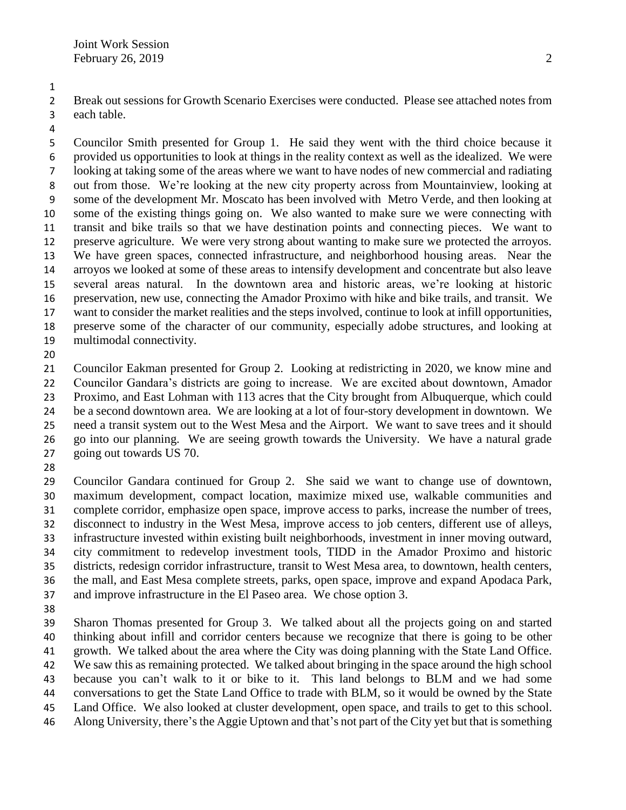Break out sessions for Growth Scenario Exercises were conducted. Please see attached notes from each table.

 Councilor Smith presented for Group 1. He said they went with the third choice because it provided us opportunities to look at things in the reality context as well as the idealized. We were looking at taking some of the areas where we want to have nodes of new commercial and radiating out from those. We're looking at the new city property across from Mountainview, looking at some of the development Mr. Moscato has been involved with Metro Verde, and then looking at some of the existing things going on. We also wanted to make sure we were connecting with transit and bike trails so that we have destination points and connecting pieces. We want to preserve agriculture. We were very strong about wanting to make sure we protected the arroyos. We have green spaces, connected infrastructure, and neighborhood housing areas. Near the arroyos we looked at some of these areas to intensify development and concentrate but also leave several areas natural. In the downtown area and historic areas, we're looking at historic preservation, new use, connecting the Amador Proximo with hike and bike trails, and transit. We want to consider the market realities and the steps involved, continue to look at infill opportunities, preserve some of the character of our community, especially adobe structures, and looking at multimodal connectivity.

 Councilor Eakman presented for Group 2. Looking at redistricting in 2020, we know mine and Councilor Gandara's districts are going to increase. We are excited about downtown, Amador Proximo, and East Lohman with 113 acres that the City brought from Albuquerque, which could be a second downtown area. We are looking at a lot of four-story development in downtown. We need a transit system out to the West Mesa and the Airport. We want to save trees and it should go into our planning. We are seeing growth towards the University. We have a natural grade going out towards US 70.

 Councilor Gandara continued for Group 2. She said we want to change use of downtown, maximum development, compact location, maximize mixed use, walkable communities and complete corridor, emphasize open space, improve access to parks, increase the number of trees, disconnect to industry in the West Mesa, improve access to job centers, different use of alleys, infrastructure invested within existing built neighborhoods, investment in inner moving outward, city commitment to redevelop investment tools, TIDD in the Amador Proximo and historic districts, redesign corridor infrastructure, transit to West Mesa area, to downtown, health centers, the mall, and East Mesa complete streets, parks, open space, improve and expand Apodaca Park, and improve infrastructure in the El Paseo area. We chose option 3.

 Sharon Thomas presented for Group 3. We talked about all the projects going on and started thinking about infill and corridor centers because we recognize that there is going to be other growth. We talked about the area where the City was doing planning with the State Land Office. We saw this as remaining protected. We talked about bringing in the space around the high school because you can't walk to it or bike to it. This land belongs to BLM and we had some

conversations to get the State Land Office to trade with BLM, so it would be owned by the State

Land Office. We also looked at cluster development, open space, and trails to get to this school.

46 Along University, there's the Aggie Uptown and that's not part of the City yet but that is something